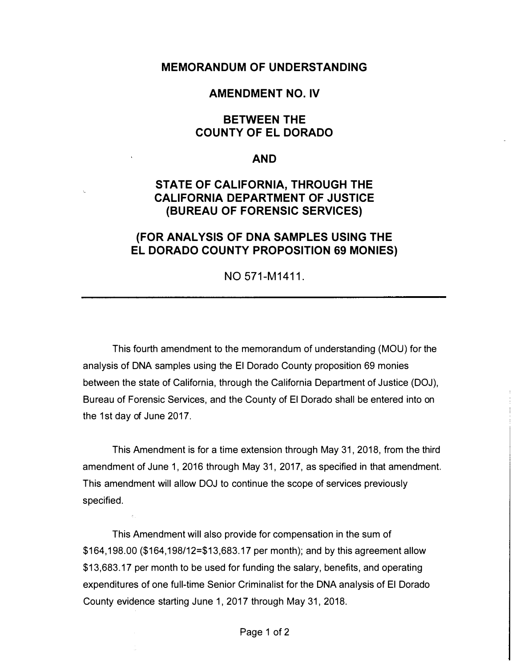#### **MEMORANDUM OF UNDERSTANDING**

### **AMENDMENT NO. IV**

### **BETWEEN THE COUNTY OF EL DORADO**

#### **AND**

# **STATE OF CALIFORNIA, THROUGH THE CALIFORNIA DEPARTMENT OF JUSTICE (BUREAU OF FORENSIC SERVICES)**

# **(FOR ANALYSIS OF DNA SAMPLES USING THE EL DORADO COUNTY PROPOSITION 69 MONIES)**

NO 571-M1411.

This fourth amendment to the memorandum of understanding (MOU) for the analysis of DNA samples using the El Dorado County proposition 69 monies between the state of California, through the California Department of Justice (DOJ), Bureau of Forensic Services, and the County of El Dorado shall be entered into on the 1st day of June 2017.

This Amendment is for a time extension through May 31, 2018, from the third amendment of June 1, 2016 through May 31, 2017, as specified in that amendment. This amendment will allow DOJ to continue the scope of services previously specified.

This Amendment will also provide for compensation in the sum of \$164,198.00 (\$164, 198/12=\$13,683.17 per month); and by this agreement allow \$13,683.17 per month to be used for funding the salary, benefits, and operating expenditures of one full-time Senior Criminalist for the DNA analysis of El Dorado County evidence starting June 1, 2017 through May 31, 2018.